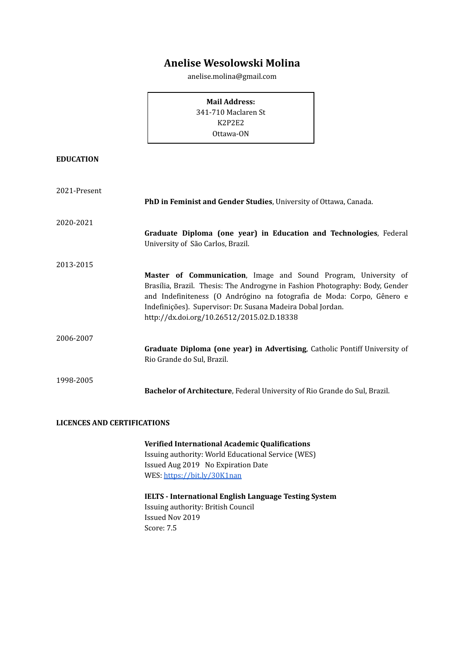# **Anelise Wesolowski Molina**

anelise.molina@gmail.com

**Mail Address:**

341-710 Maclaren St K2P2E2 Ottawa-ON

# **EDUCATION**

| 2021-Present                       |                                                                                                                                                                                                                                                                                                                                        |  |
|------------------------------------|----------------------------------------------------------------------------------------------------------------------------------------------------------------------------------------------------------------------------------------------------------------------------------------------------------------------------------------|--|
|                                    | PhD in Feminist and Gender Studies, University of Ottawa, Canada.                                                                                                                                                                                                                                                                      |  |
| 2020-2021                          |                                                                                                                                                                                                                                                                                                                                        |  |
|                                    | Graduate Diploma (one year) in Education and Technologies, Federal<br>University of São Carlos, Brazil.                                                                                                                                                                                                                                |  |
| 2013-2015                          |                                                                                                                                                                                                                                                                                                                                        |  |
|                                    | Master of Communication, Image and Sound Program, University of<br>Brasília, Brazil. Thesis: The Androgyne in Fashion Photography: Body, Gender<br>and Indefiniteness (O Andrógino na fotografia de Moda: Corpo, Gênero e<br>Indefinições). Supervisor: Dr. Susana Madeira Dobal Jordan.<br>http://dx.doi.org/10.26512/2015.02.D.18338 |  |
| 2006-2007                          |                                                                                                                                                                                                                                                                                                                                        |  |
|                                    | Graduate Diploma (one year) in Advertising, Catholic Pontiff University of<br>Rio Grande do Sul, Brazil.                                                                                                                                                                                                                               |  |
| 1998-2005                          | Bachelor of Architecture, Federal University of Rio Grande do Sul, Brazil.                                                                                                                                                                                                                                                             |  |
|                                    |                                                                                                                                                                                                                                                                                                                                        |  |
| <b>LICENCES AND CERTIFICATIONS</b> |                                                                                                                                                                                                                                                                                                                                        |  |
|                                    | Verified International Academic Qualifications                                                                                                                                                                                                                                                                                         |  |

Issuing authority: World Educational Service (WES) Issued Aug 2019 No Expiration Date WES: <https://bit.ly/30K1nan>

**IELTS - International English Language Testing System** Issuing authority: British Council Issued Nov 2019 Score: 7.5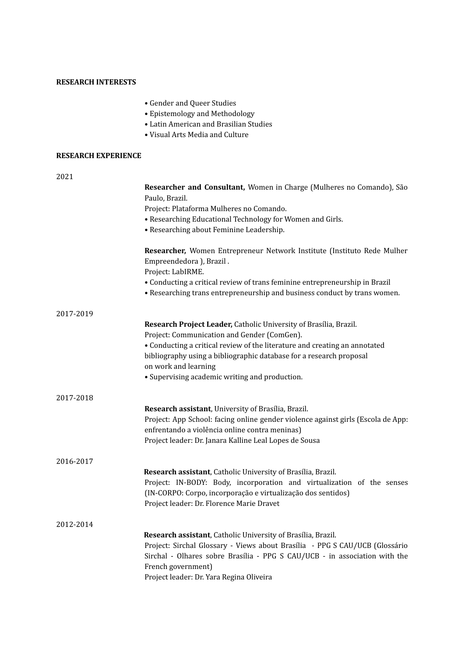# **RESEARCH INTERESTS**

- Gender and Queer Studies
- Epistemology and Methodology
- Latin American and Brasilian Studies
- Visual Arts Media and Culture

# **RESEARCH EXPERIENCE**

| 2021      |                                                                                                                                                                                                                                                                                             |
|-----------|---------------------------------------------------------------------------------------------------------------------------------------------------------------------------------------------------------------------------------------------------------------------------------------------|
|           | Researcher and Consultant, Women in Charge (Mulheres no Comando), São                                                                                                                                                                                                                       |
|           | Paulo, Brazil.                                                                                                                                                                                                                                                                              |
|           | Project: Plataforma Mulheres no Comando.                                                                                                                                                                                                                                                    |
|           | • Researching Educational Technology for Women and Girls.                                                                                                                                                                                                                                   |
|           | • Researching about Feminine Leadership.                                                                                                                                                                                                                                                    |
|           | Researcher, Women Entrepreneur Network Institute (Instituto Rede Mulher<br>Empreendedora ), Brazil.<br>Project: LabIRME.                                                                                                                                                                    |
|           | • Conducting a critical review of trans feminine entrepreneurship in Brazil                                                                                                                                                                                                                 |
|           | • Researching trans entrepreneurship and business conduct by trans women.                                                                                                                                                                                                                   |
| 2017-2019 |                                                                                                                                                                                                                                                                                             |
|           | Research Project Leader, Catholic University of Brasília, Brazil.                                                                                                                                                                                                                           |
|           | Project: Communication and Gender (ComGen).                                                                                                                                                                                                                                                 |
|           | • Conducting a critical review of the literature and creating an annotated                                                                                                                                                                                                                  |
|           | bibliography using a bibliographic database for a research proposal                                                                                                                                                                                                                         |
|           | on work and learning                                                                                                                                                                                                                                                                        |
|           | • Supervising academic writing and production.                                                                                                                                                                                                                                              |
| 2017-2018 |                                                                                                                                                                                                                                                                                             |
|           | Research assistant, University of Brasília, Brazil.                                                                                                                                                                                                                                         |
|           | Project: App School: facing online gender violence against girls (Escola de App:                                                                                                                                                                                                            |
|           | enfrentando a violência online contra meninas)                                                                                                                                                                                                                                              |
|           | Project leader: Dr. Janara Kalline Leal Lopes de Sousa                                                                                                                                                                                                                                      |
| 2016-2017 |                                                                                                                                                                                                                                                                                             |
|           | Research assistant, Catholic University of Brasília, Brazil.                                                                                                                                                                                                                                |
|           | Project: IN-BODY: Body, incorporation and virtualization of the senses                                                                                                                                                                                                                      |
|           | (IN-CORPO: Corpo, incorporação e virtualização dos sentidos)                                                                                                                                                                                                                                |
|           | Project leader: Dr. Florence Marie Dravet                                                                                                                                                                                                                                                   |
| 2012-2014 |                                                                                                                                                                                                                                                                                             |
|           | Research assistant, Catholic University of Brasília, Brazil.<br>Project: Sirchal Glossary - Views about Brasília - PPG S CAU/UCB (Glossário<br>Sirchal - Olhares sobre Brasília - PPG S CAU/UCB - in association with the<br>French government)<br>Project leader: Dr. Yara Regina Oliveira |
|           |                                                                                                                                                                                                                                                                                             |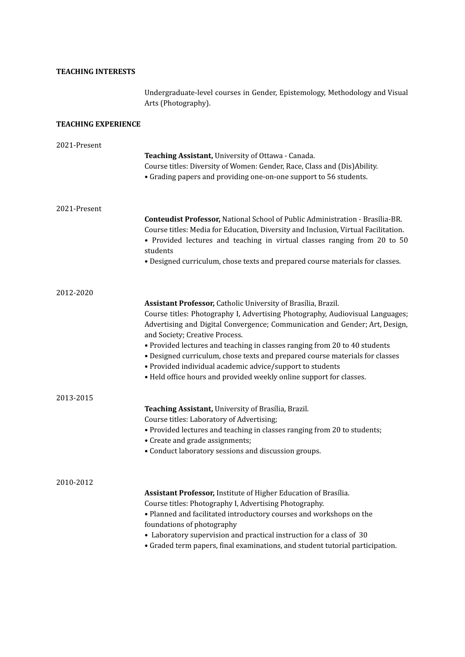# **TEACHING INTERESTS**

Undergraduate-level courses in Gender, Epistemology, Methodology and Visual Arts (Photography).

# **TEACHING EXPERIENCE**

| 2021-Present | Teaching Assistant, University of Ottawa - Canada.                                                                                            |
|--------------|-----------------------------------------------------------------------------------------------------------------------------------------------|
|              | Course titles: Diversity of Women: Gender, Race, Class and (Dis)Ability.<br>• Grading papers and providing one-on-one support to 56 students. |
| 2021-Present |                                                                                                                                               |
|              | Conteudist Professor, National School of Public Administration - Brasília-BR.                                                                 |
|              | Course titles: Media for Education, Diversity and Inclusion, Virtual Facilitation.                                                            |
|              | • Provided lectures and teaching in virtual classes ranging from 20 to 50                                                                     |
|              | students                                                                                                                                      |
|              | • Designed curriculum, chose texts and prepared course materials for classes.                                                                 |
| 2012-2020    |                                                                                                                                               |
|              | Assistant Professor, Catholic University of Brasília, Brazil.                                                                                 |
|              | Course titles: Photography I, Advertising Photography, Audiovisual Languages;                                                                 |
|              | Advertising and Digital Convergence; Communication and Gender; Art, Design,                                                                   |
|              | and Society; Creative Process.                                                                                                                |
|              | • Provided lectures and teaching in classes ranging from 20 to 40 students                                                                    |
|              | • Designed curriculum, chose texts and prepared course materials for classes                                                                  |
|              | · Provided individual academic advice/support to students                                                                                     |
|              | • Held office hours and provided weekly online support for classes.                                                                           |
| 2013-2015    |                                                                                                                                               |
|              | Teaching Assistant, University of Brasília, Brazil.<br>Course titles: Laboratory of Advertising;                                              |
|              | • Provided lectures and teaching in classes ranging from 20 to students;                                                                      |
|              | • Create and grade assignments;                                                                                                               |
|              | • Conduct laboratory sessions and discussion groups.                                                                                          |
|              |                                                                                                                                               |
| 2010-2012    |                                                                                                                                               |
|              | Assistant Professor, Institute of Higher Education of Brasília.                                                                               |
|              | Course titles: Photography I, Advertising Photography.                                                                                        |
|              | • Planned and facilitated introductory courses and workshops on the                                                                           |
|              | foundations of photography                                                                                                                    |
|              | • Laboratory supervision and practical instruction for a class of 30                                                                          |
|              | • Graded term papers, final examinations, and student tutorial participation.                                                                 |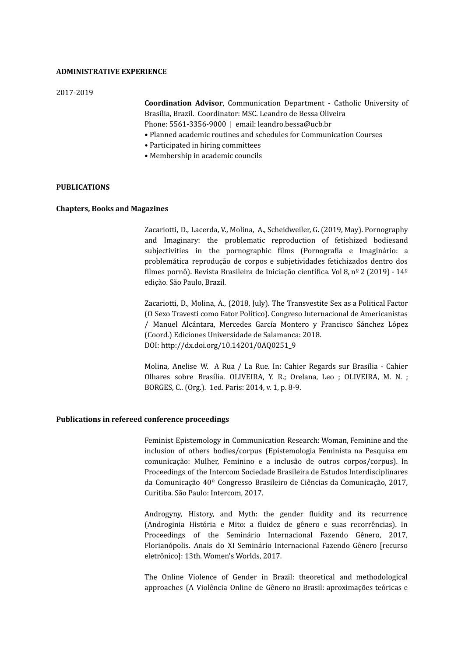# **ADMINISTRATIVE EXPERIENCE**

#### 2017-2019

**Coordination Advisor**, Communication Department - Catholic University of Brasília, Brazil. Coordinator: MSC. Leandro de Bessa Oliveira Phone: 5561-3356-9000 | email: leandro.bessa@ucb.br

- Planned academic routines and schedules for Communication Courses
- Participated in hiring committees
- Membership in academic councils

#### **PUBLICATIONS**

# **Chapters, Books and Magazines**

Zacariotti, D., Lacerda, V., Molina, A., Scheidweiler, G. (2019, May). Pornography and Imaginary: the problematic reproduction of fetishized bodiesand subjectivities in the pornographic films (Pornografia e Imaginário: a problemática reprodução de corpos e subjetividades fetichizados dentro dos filmes pornô). Revista Brasileira de Iniciação científica. Vol 8, nº 2 (2019) - 14º edição. São Paulo, Brazil.

Zacariotti, D., Molina, A., (2018, July). The Transvestite Sex as a Political Factor (O Sexo Travesti como Fator Político). Congreso Internacional de Americanistas / Manuel Alcántara, Mercedes García Montero y Francisco Sánchez López (Coord.) Ediciones Universidade de Salamanca: 2018. DOI: http://dx.doi.org/10.14201/0AQ0251\_9

Molina, Anelise W. A Rua / La Rue. In: Cahier Regards sur Brasília - Cahier Olhares sobre Brasília. OLIVEIRA, Y. R.; Orelana, Leo ; OLIVEIRA, M. N. ; BORGES, C.. (Org.). 1ed. Paris: 2014, v. 1, p. 8-9.

#### **Publications in refereed conference proceedings**

Feminist Epistemology in Communication Research: Woman, Feminine and the inclusion of others bodies/corpus (Epistemologia Feminista na Pesquisa em comunicação: Mulher, Feminino e a inclusão de outros corpos/corpus). In Proceedings of the Intercom Sociedade Brasileira de Estudos Interdisciplinares da Comunicação 40º Congresso Brasileiro de Ciências da Comunicação, 2017, Curitiba. São Paulo: Intercom, 2017.

Androgyny, History, and Myth: the gender fluidity and its recurrence (Androginia História e Mito: a fluidez de gênero e suas recorrências). In Proceedings of the Seminário Internacional Fazendo Gênero, 2017, Florianópolis. Anais do XI Seminário Internacional Fazendo Gênero [recurso eletrônico]: 13th. Women's Worlds, 2017.

The Online Violence of Gender in Brazil: theoretical and methodological approaches (A Violência Online de Gênero no Brasil: aproximações teóricas e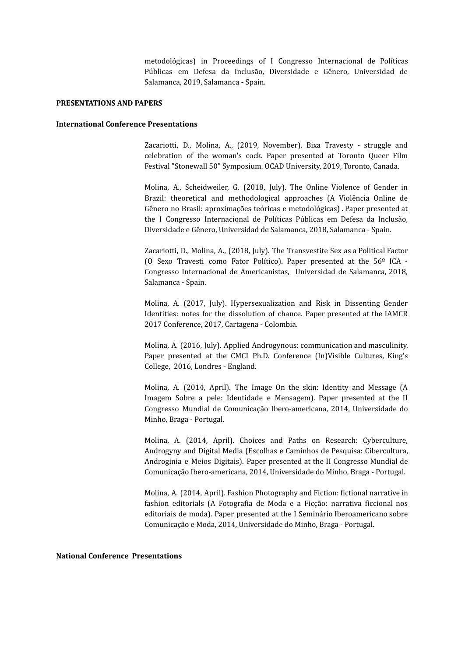metodológicas) in Proceedings of I Congresso Internacional de Políticas Públicas em Defesa da Inclusão, Diversidade e Gênero, Universidad de Salamanca, 2019, Salamanca - Spain.

#### **PRESENTATIONS AND PAPERS**

#### **International Conference Presentations**

Zacariotti, D., Molina, A., (2019, November). Bixa Travesty - struggle and celebration of the woman's cock. Paper presented at Toronto Queer Film Festival "Stonewall 50" Symposium. OCAD University, 2019, Toronto, Canada.

Molina, A., Scheidweiler, G. (2018, July). The Online Violence of Gender in Brazil: theoretical and methodological approaches (A Violência Online de Gênero no Brasil: aproximações teóricas e metodológicas) . Paper presented at the I Congresso Internacional de Políticas Públicas em Defesa da Inclusão, Diversidade e Gênero, Universidad de Salamanca, 2018, Salamanca - Spain.

Zacariotti, D., Molina, A., (2018, July). The Transvestite Sex as a Political Factor (O Sexo Travesti como Fator Político). Paper presented at the 56º ICA - Congresso Internacional de Americanistas, Universidad de Salamanca, 2018, Salamanca - Spain.

Molina, A. (2017, July). Hypersexualization and Risk in Dissenting Gender Identities: notes for the dissolution of chance. Paper presented at the IAMCR 2017 Conference, 2017, Cartagena - Colombia.

Molina, A. (2016, July). Applied Androgynous: communication and masculinity. Paper presented at the CMCI Ph.D. Conference (In)Visible Cultures, King's College, 2016, Londres - England.

Molina, A. (2014, April). The Image On the skin: Identity and Message (A Imagem Sobre a pele: Identidade e Mensagem). Paper presented at the II Congresso Mundial de Comunicação Ibero-americana, 2014, Universidade do Minho, Braga - Portugal.

Molina, A. (2014, April). Choices and Paths on Research: Cyberculture, Androgyny and Digital Media (Escolhas e Caminhos de Pesquisa: Cibercultura, Androginia e Meios Digitais). Paper presented at the II Congresso Mundial de Comunicação Ibero-americana, 2014, Universidade do Minho, Braga - Portugal.

Molina, A. (2014, April). Fashion Photography and Fiction: fictional narrative in fashion editorials (A Fotografia de Moda e a Ficção: narrativa ficcional nos editoriais de moda). Paper presented at the I Seminário Iberoamericano sobre Comunicação e Moda, 2014, Universidade do Minho, Braga - Portugal.

#### **National Conference Presentations**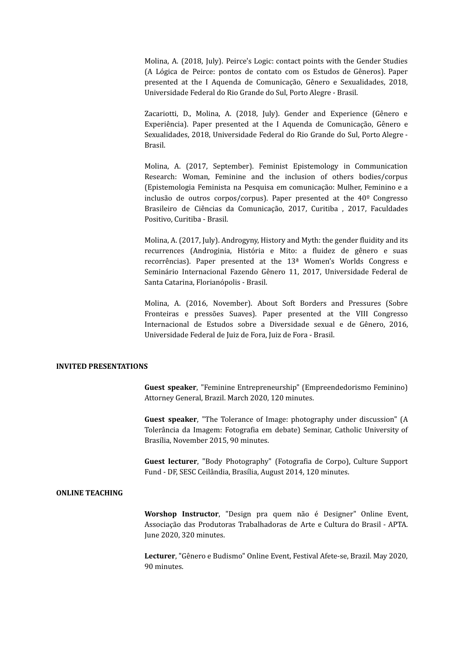Molina, A. (2018, July). Peirce's Logic: contact points with the Gender Studies (A Lógica de Peirce: pontos de contato com os Estudos de Gêneros). Paper presented at the I Aquenda de Comunicação, Gênero e Sexualidades, 2018, Universidade Federal do Rio Grande do Sul, Porto Alegre - Brasil.

Zacariotti, D., Molina, A. (2018, July). Gender and Experience (Gênero e Experiência). Paper presented at the I Aquenda de Comunicação, Gênero e Sexualidades, 2018, Universidade Federal do Rio Grande do Sul, Porto Alegre - Brasil.

Molina, A. (2017, September). Feminist Epistemology in Communication Research: Woman, Feminine and the inclusion of others bodies/corpus (Epistemologia Feminista na Pesquisa em comunicação: Mulher, Feminino e a inclusão de outros corpos/corpus). Paper presented at the 40º Congresso Brasileiro de Ciências da Comunicação, 2017, Curitiba , 2017, Faculdades Positivo, Curitiba - Brasil.

Molina, A. (2017, July). Androgyny, History and Myth: the gender fluidity and its recurrences (Androginia, História e Mito: a fluidez de gênero e suas recorrências). Paper presented at the 13ª Women's Worlds Congress e Seminário Internacional Fazendo Gênero 11, 2017, Universidade Federal de Santa Catarina, Florianópolis - Brasil.

Molina, A. (2016, November). About Soft Borders and Pressures (Sobre Fronteiras e pressões Suaves). Paper presented at the VIII Congresso Internacional de Estudos sobre a Diversidade sexual e de Gênero, 2016, Universidade Federal de Juiz de Fora, Juiz de Fora - Brasil.

# **INVITED PRESENTATIONS**

**Guest speaker**, "Feminine Entrepreneurship" (Empreendedorismo Feminino) Attorney General, Brazil. March 2020, 120 minutes.

**Guest speaker**, "The Tolerance of Image: photography under discussion" (A Tolerância da Imagem: Fotografia em debate) Seminar, Catholic University of Brasília, November 2015, 90 minutes.

**Guest lecturer**, "Body Photography" (Fotografia de Corpo), Culture Support Fund - DF, SESC Ceilândia, Brasília, August 2014, 120 minutes.

# **ONLINE TEACHING**

**Worshop Instructor**, "Design pra quem não é Designer" Online Event, Associação das Produtoras Trabalhadoras de Arte e Cultura do Brasil - APTA. June 2020, 320 minutes.

**Lecturer**, "Gênero e Budismo" Online Event, Festival Afete-se, Brazil. May 2020, 90 minutes.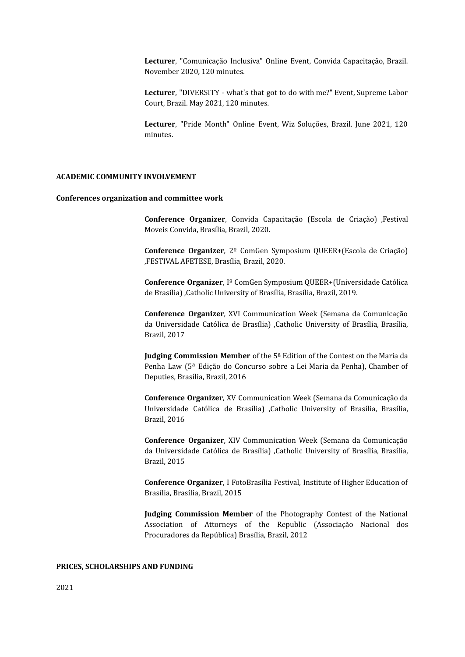**Lecturer**, "Comunicação Inclusiva" Online Event, Convida Capacitação, Brazil. November 2020, 120 minutes.

**Lecturer**, "DIVERSITY - what's that got to do with me?" Event, Supreme Labor Court, Brazil. May 2021, 120 minutes.

**Lecturer**, "Pride Month" Online Event, Wiz Soluções, Brazil. June 2021, 120 minutes.

## **ACADEMIC COMMUNITY INVOLVEMENT**

#### **Conferences organization and committee work**

**Conference Organizer**, Convida Capacitação (Escola de Criação) ,Festival Moveis Convida, Brasília, Brazil, 2020.

**Conference Organizer**, 2º ComGen Symposium QUEER+(Escola de Criação) ,FESTIVAL AFETESE, Brasília, Brazil, 2020.

**Conference Organizer**, Iº ComGen Symposium QUEER+(Universidade Católica de Brasília) ,Catholic University of Brasília, Brasília, Brazil, 2019.

**Conference Organizer**, XVI Communication Week (Semana da Comunicação da Universidade Católica de Brasília) ,Catholic University of Brasília, Brasília, Brazil, 2017

**Judging Commission Member** of the 5ª Edition of the Contest on the Maria da Penha Law (5ª Edição do Concurso sobre a Lei Maria da Penha), Chamber of Deputies, Brasília, Brazil, 2016

**Conference Organizer**, XV Communication Week (Semana da Comunicação da Universidade Católica de Brasília) ,Catholic University of Brasília, Brasília, Brazil, 2016

**Conference Organizer**, XIV Communication Week (Semana da Comunicação da Universidade Católica de Brasília) ,Catholic University of Brasília, Brasília, Brazil, 2015

**Conference Organizer**, I FotoBrasília Festival, Institute of Higher Education of Brasília, Brasília, Brazil, 2015

**Judging Commission Member** of the Photography Contest of the National Association of Attorneys of the Republic (Associação Nacional dos Procuradores da República) Brasília, Brazil, 2012

## **PRICES, SCHOLARSHIPS AND FUNDING**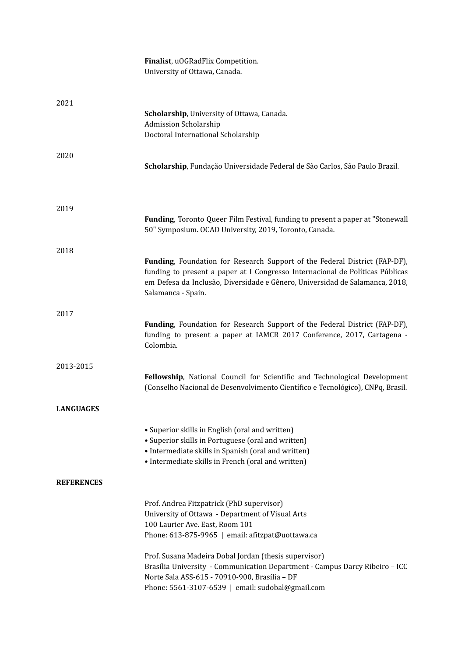|                   | Finalist, uOGRadFlix Competition.<br>University of Ottawa, Canada.                                                                                                                                                                                                |
|-------------------|-------------------------------------------------------------------------------------------------------------------------------------------------------------------------------------------------------------------------------------------------------------------|
| 2021              | Scholarship, University of Ottawa, Canada.<br><b>Admission Scholarship</b><br>Doctoral International Scholarship                                                                                                                                                  |
| 2020              | Scholarship, Fundação Universidade Federal de São Carlos, São Paulo Brazil.                                                                                                                                                                                       |
| 2019              | Funding, Toronto Queer Film Festival, funding to present a paper at "Stonewall<br>50" Symposium. OCAD University, 2019, Toronto, Canada.                                                                                                                          |
| 2018              | Funding, Foundation for Research Support of the Federal District (FAP-DF),<br>funding to present a paper at I Congresso Internacional de Políticas Públicas<br>em Defesa da Inclusão, Diversidade e Gênero, Universidad de Salamanca, 2018,<br>Salamanca - Spain. |
| 2017              | Funding, Foundation for Research Support of the Federal District (FAP-DF),<br>funding to present a paper at IAMCR 2017 Conference, 2017, Cartagena -<br>Colombia.                                                                                                 |
| 2013-2015         | Fellowship, National Council for Scientific and Technological Development<br>(Conselho Nacional de Desenvolvimento Científico e Tecnológico), CNPq, Brasil.                                                                                                       |
| LANGUAGES         |                                                                                                                                                                                                                                                                   |
|                   | • Superior skills in English (oral and written)<br>• Superior skills in Portuguese (oral and written)<br>• Intermediate skills in Spanish (oral and written)<br>• Intermediate skills in French (oral and written)                                                |
| <b>REFERENCES</b> |                                                                                                                                                                                                                                                                   |
|                   | Prof. Andrea Fitzpatrick (PhD supervisor)<br>University of Ottawa - Department of Visual Arts<br>100 Laurier Ave. East, Room 101<br>Phone: 613-875-9965   email: afitzpat@uottawa.ca                                                                              |
|                   | Prof. Susana Madeira Dobal Jordan (thesis supervisor)<br>Brasília University - Communication Department - Campus Darcy Ribeiro - ICC<br>Norte Sala ASS-615 - 70910-900, Brasília - DF<br>Phone: 5561-3107-6539   email: sudobal@gmail.com                         |